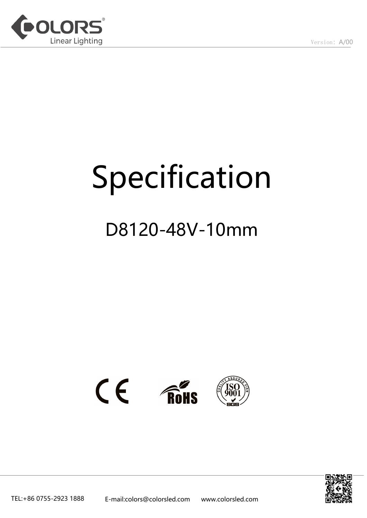

## Specification

### D8120-48V-10mm



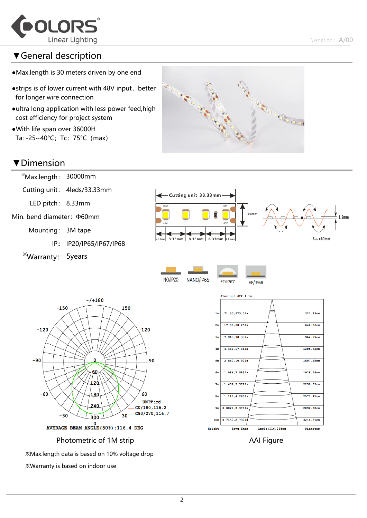

#### ▼General description

- ●Max.length is 30 meters driven by one end
- ●strips is of lower current with 48V input, better for longer wire connection
- ●ultra long application with less power feed,high cost efficiency for project system
- ●With life span over 36000H Ta:  $-25~-40°C$ ; Tc: 75°C (max)

※Max.length: 30000mm

▼Dimension

# Call Call **CELORED BY**

#### Cutting unit: 4leds/33.33mm Cutting unit 33.33mm LED pitch: 8.33mm Min. bend diameter:Φ60mm Mounting: 3M tape  $R_{min} = 60$ mm  $8.33mm$  8.33mm 8.33mm IP: IP20/IP65/IP67/IP68 ※Warranty: 5years NO/IP20 NANO/IP65 **ET/IP67 EF/IP68** Flux out:  $622.2$  lm  $- / + 180$  $-150$ 150  $71.50, 273.01x$ 321.43cm  $1\pi$  $2\pi$ 17.88,68.251x 642.86cm  $-120$ 120 964.29cm  $7.945, 30.331x$  $3\pi$ 4.469,17.061x 1285.72cm  $-90$ 90 s. 2.860.10.921x 1607.15cm 60 1.986, 7.5831x 1928.59cm 61 1.459.5.5711x 2250.02cm  $7<sub>\pi</sub>$  $-60$ 60 180  $1.117.4.2651x$  $8\pi$ 2571.45cm UNIT:cd 240  $CO/180, 116.2$  $0.8827, 3.3701x$ 2892.88cm  $9<sub>π</sub>$  $-$  C90/270,116.7  $-30$  $30<sup>-</sup>$ 300  $0.7150, 2.7301$ 3214.31cm  $10m$  $0$ <br>AVERAGE BEAM ANGLE (50%) : 116.4 DEG Angle:116.22deg Eavg, Emax Diameter Height Photometric of 1M strip AAI Figure ※Max.length data is based on 10% voltage drop ※Warranty is based on indoor use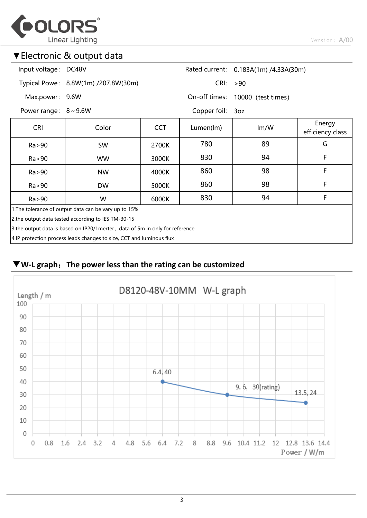

Version: A/00

#### ▼Electronic & output data

| Input voltage: DC48V                                                          |                                     |            |                  | Rated current: 0.183A(1m) /4.33A(30m) |                            |  |  |  |
|-------------------------------------------------------------------------------|-------------------------------------|------------|------------------|---------------------------------------|----------------------------|--|--|--|
|                                                                               | Typical Powe: 8.8W(1m) /207.8W(30m) |            | CRI: >90         |                                       |                            |  |  |  |
| Max.power: 9.6W                                                               |                                     |            |                  | On-off times: 10000 (test times)      |                            |  |  |  |
| Power range: $8 \sim 9.6W$                                                    |                                     |            | Copper foil: 3oz |                                       |                            |  |  |  |
| <b>CRI</b>                                                                    | Color                               | <b>CCT</b> | Lumen(lm)        | Im/W                                  | Energy<br>efficiency class |  |  |  |
| Ra > 90                                                                       | <b>SW</b>                           | 2700K      | 780              | 89                                    | G                          |  |  |  |
| Ra > 90                                                                       | <b>WW</b>                           | 3000K      | 830              | 94                                    | F                          |  |  |  |
| Ra > 90                                                                       | <b>NW</b>                           | 4000K      | 860              | 98                                    | F                          |  |  |  |
| Ra > 90                                                                       | <b>DW</b>                           | 5000K      | 860              | 98                                    | F                          |  |  |  |
| Ra > 90                                                                       | W                                   | 6000K      | 830              | 94                                    | F                          |  |  |  |
| 1. The tolerance of output data can be vary up to 15%                         |                                     |            |                  |                                       |                            |  |  |  |
| 2.the output data tested according to IES TM-30-15                            |                                     |            |                  |                                       |                            |  |  |  |
| 3.the output data is based on IP20/1 merter, data of 5m in only for reference |                                     |            |                  |                                       |                            |  |  |  |
| 4.IP protection process leads changes to size, CCT and luminous flux          |                                     |            |                  |                                       |                            |  |  |  |

#### ▼**W-L graph**:**The power less than the rating can be customized**

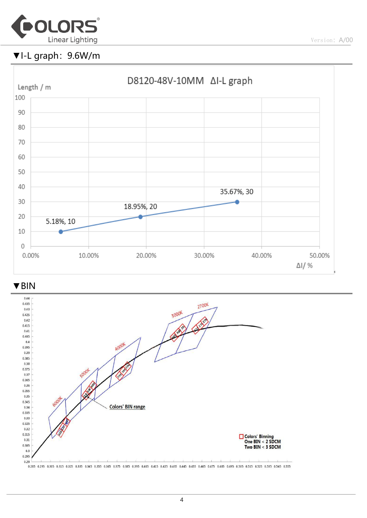

#### ▼I-L graph:9.6W/m



▼BIN



0.285 0.295 0.305 0.315 0.325 0.335 0.345 0.355 0.365 0.375 0.385 0.395 0.405 0.415 0.425 0.435 0.455 0.455 0.455 0.475 0.485 0.495 0.505 0.515 0.525 0.535 0.545 0.555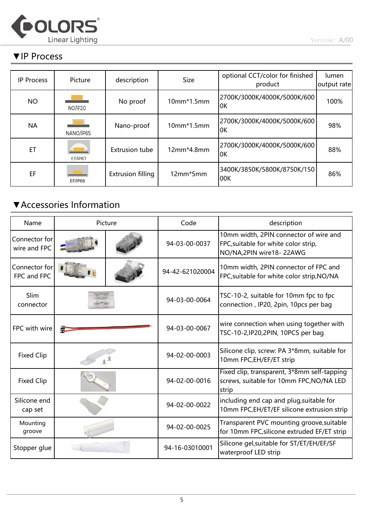

#### ▼IP Process

| <b>IP Process</b> | Picture        | description              | <b>Size</b>  | optional CCT/color for finished<br>product | lumen<br>output rate |
|-------------------|----------------|--------------------------|--------------|--------------------------------------------|----------------------|
| <b>NO</b>         | <b>NO/IP20</b> | No proof                 | $10mm*1.5mm$ | 2700K/3000K/4000K/5000K/600<br>0K          | 100%                 |
| <b>NA</b>         | NANO/IP65      | Nano-proof               | $10mm*1.5mm$ | 2700K/3000K/4000K/5000K/600<br>0K          | 98%                  |
| ET                | <b>ET/IP67</b> | <b>Extrusion tube</b>    | $12mm*4.8mm$ | 2700K/3000K/4000K/5000K/600<br>0K          | 88%                  |
| EF                | <b>EF/IP68</b> | <b>Extrusion filling</b> | 12mm*5mm     | 3400K/3850K/5800K/8750K/150<br>00K         | 86%                  |

#### ▼Accessories Information

| Name                          |  | Picture | Code            | description                                                                                                 |
|-------------------------------|--|---------|-----------------|-------------------------------------------------------------------------------------------------------------|
| Connector for<br>wire and FPC |  |         | 94-03-00-0037   | 10mm width, 2PIN connector of wire and<br>FPC, suitable for white color strip,<br>NO/NA, 2PIN wire 18-22AWG |
| Connector for<br>FPC and FPC  |  |         | 94-42-621020004 | 10mm width, 2PIN connector of FPC and<br>FPC, suitable for white color strip, NO/NA                         |
| Slim<br>connector             |  |         | 94-03-00-0064   | TSC-10-2, suitable for 10mm fpc to fpc<br>connection, IP20, 2pin, 10pcs per bag                             |
| FPC with wire                 |  |         | 94-03-00-0067   | wire connection when using together with<br>TSC-10-2, IP20, 2PIN, 10PCS per bag                             |
| <b>Fixed Clip</b>             |  |         | 94-02-00-0003   | Silicone clip, screw: PA 3*8mm, suitable for<br>10mm FPC, EH/EF/ET strip                                    |
| <b>Fixed Clip</b>             |  |         | 94-02-00-0016   | Fixed clip, transparent, 3*8mm self-tapping<br>screws, suitable for 10mm FPC, NO/NA LED<br>strip            |
| Silicone end<br>cap set       |  |         |                 | including end cap and plug, suitable for<br>10mm FPC, EH/ET/EF silicone extrusion strip                     |
| Mounting<br>groove            |  |         | 94-02-00-0025   | Transparent PVC mounting groove, suitable<br>for 10mm FPC, silicone extruded EF/ET strip                    |
| Stopper glue                  |  |         |                 | Silicone gel, suitable for ST/ET/EH/EF/SF<br>waterproof LED strip                                           |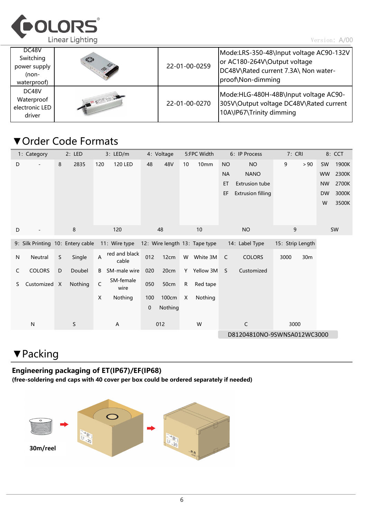

| DC48V<br>Switching<br>power supply<br>$(non-$<br>waterproof) | $\circledcirc$                       | 22-01-00-0259 | Mode:LRS-350-48\Input voltage AC90-132V<br>or AC180-264V\Output voltage<br>DC48V\Rated current 7.3A\ Non water-<br>proof\Non-dimming |
|--------------------------------------------------------------|--------------------------------------|---------------|--------------------------------------------------------------------------------------------------------------------------------------|
| DC48V<br>Waterproof<br>electronic LED<br>driver              | <b>THE REAL PROPERTY AND INCOME.</b> | 22-01-00-0270 | Mode:HLG-480H-48B\Input voltage AC90-<br>305V\Output voltage DC48V\Rated current<br>10A\IP67\Trinity dimming                         |

#### ▼Order Code Formats

|   | 1: Category                       | 2: LED<br>3: LED/m |             |                         | 4: Voltage             |     | 5:FPC Width |                             | 6: IP Process                 | 7: CRI    |                          | 8: CCT           |      |           |       |
|---|-----------------------------------|--------------------|-------------|-------------------------|------------------------|-----|-------------|-----------------------------|-------------------------------|-----------|--------------------------|------------------|------|-----------|-------|
| D |                                   | 8                  | 2835        | 120                     | <b>120 LED</b>         | 48  | 48V         | 10                          | 10mm                          | <b>NO</b> | <b>NO</b>                | 9                | > 90 | SW        | 1900K |
|   |                                   |                    |             |                         |                        |     |             |                             |                               | <b>NA</b> | <b>NANO</b>              |                  |      | <b>WW</b> | 2300K |
|   |                                   |                    |             |                         |                        |     |             |                             |                               | <b>ET</b> | <b>Extrusion tube</b>    |                  |      | <b>NW</b> | 2700K |
|   |                                   |                    |             |                         |                        |     |             |                             |                               | EF        | <b>Extrusion filling</b> |                  |      | <b>DW</b> | 3000K |
|   |                                   |                    |             |                         |                        |     |             |                             |                               |           |                          |                  |      | W         | 3500K |
|   |                                   |                    |             |                         |                        |     |             |                             |                               |           |                          |                  |      |           |       |
|   |                                   |                    |             |                         |                        |     |             |                             |                               |           |                          |                  |      |           |       |
| D |                                   |                    | 8           |                         | 120                    |     | 48          |                             | 10                            |           | <b>NO</b>                | 9                |      |           | SW    |
|   | 9: Silk Printing 10: Entery cable |                    |             |                         | 11: Wire type          |     |             |                             | 12: Wire length 13: Tape type |           | 14: Label Type           | 15: Strip Length |      |           |       |
| N | Neutral                           | $\mathsf S$        | Single      | $\overline{\mathsf{A}}$ | red and black<br>cable | 012 | 12cm        | W                           | White 3M                      | C         | <b>COLORS</b>            | 3000             | 30m  |           |       |
| C | <b>COLORS</b>                     | D                  | Doubel      | B                       | SM-male wire           | 020 | 20cm        |                             | Y Yellow 3M                   | S         | Customized               |                  |      |           |       |
| S | Customized X                      |                    | Nothing     | C                       | SM-female<br>wire      | 050 | 50cm        | $\mathsf{R}$                | Red tape                      |           |                          |                  |      |           |       |
|   |                                   |                    |             | X                       | Nothing                | 100 | 100cm       | X                           | Nothing                       |           |                          |                  |      |           |       |
|   |                                   |                    |             |                         |                        | 0   | Nothing     |                             |                               |           |                          |                  |      |           |       |
|   |                                   |                    |             |                         |                        |     |             |                             |                               |           |                          |                  |      |           |       |
|   | N                                 |                    | $\mathsf S$ |                         | A                      |     | 012         |                             | W                             |           | $\mathsf C$              | 3000             |      |           |       |
|   |                                   |                    |             |                         |                        |     |             | D81204810NO-9SWNSA012WC3000 |                               |           |                          |                  |      |           |       |

### ▼Packing

#### Engineering packaging of ET(IP67)/EF(IP68) (free-soldering end caps with 40 cover per box could be ordered separately if needed)